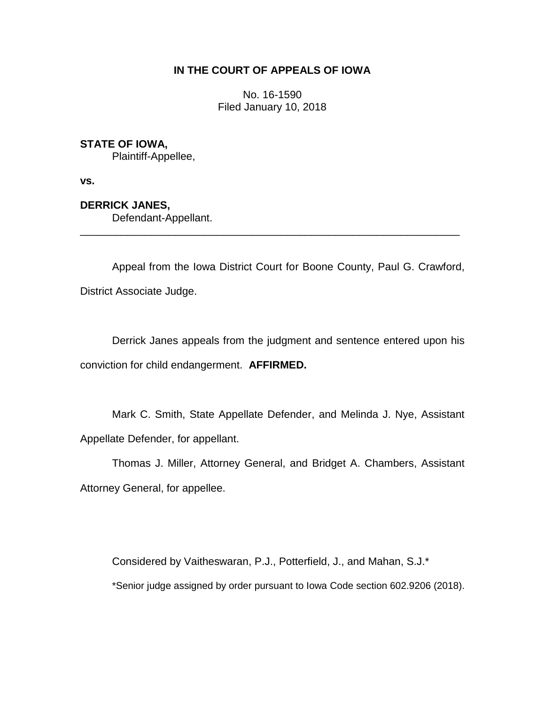# **IN THE COURT OF APPEALS OF IOWA**

No. 16-1590 Filed January 10, 2018

## **STATE OF IOWA,**

Plaintiff-Appellee,

**vs.**

**DERRICK JANES,**

Defendant-Appellant.

Appeal from the Iowa District Court for Boone County, Paul G. Crawford, District Associate Judge.

\_\_\_\_\_\_\_\_\_\_\_\_\_\_\_\_\_\_\_\_\_\_\_\_\_\_\_\_\_\_\_\_\_\_\_\_\_\_\_\_\_\_\_\_\_\_\_\_\_\_\_\_\_\_\_\_\_\_\_\_\_\_\_\_

Derrick Janes appeals from the judgment and sentence entered upon his conviction for child endangerment. **AFFIRMED.**

Mark C. Smith, State Appellate Defender, and Melinda J. Nye, Assistant Appellate Defender, for appellant.

Thomas J. Miller, Attorney General, and Bridget A. Chambers, Assistant Attorney General, for appellee.

Considered by Vaitheswaran, P.J., Potterfield, J., and Mahan, S.J.\*

\*Senior judge assigned by order pursuant to Iowa Code section 602.9206 (2018).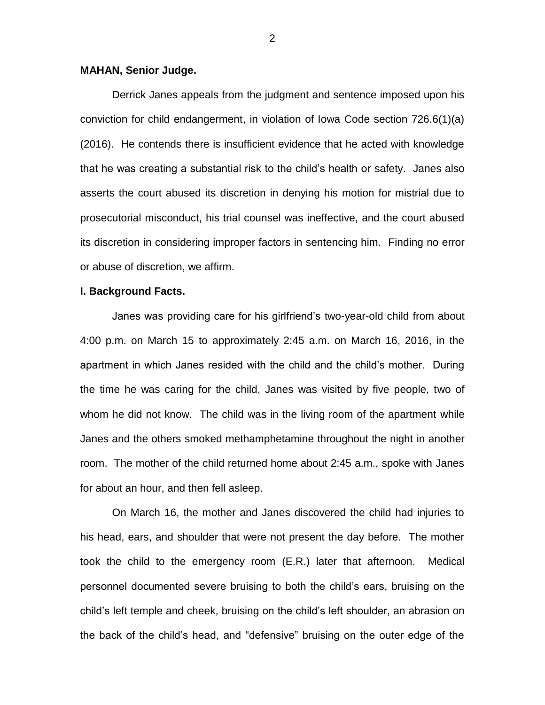### **MAHAN, Senior Judge.**

Derrick Janes appeals from the judgment and sentence imposed upon his conviction for child endangerment, in violation of Iowa Code section 726.6(1)(a) (2016). He contends there is insufficient evidence that he acted with knowledge that he was creating a substantial risk to the child's health or safety. Janes also asserts the court abused its discretion in denying his motion for mistrial due to prosecutorial misconduct, his trial counsel was ineffective, and the court abused its discretion in considering improper factors in sentencing him. Finding no error or abuse of discretion, we affirm.

#### **I. Background Facts.**

Janes was providing care for his girlfriend's two-year-old child from about 4:00 p.m. on March 15 to approximately 2:45 a.m. on March 16, 2016, in the apartment in which Janes resided with the child and the child's mother. During the time he was caring for the child, Janes was visited by five people, two of whom he did not know. The child was in the living room of the apartment while Janes and the others smoked methamphetamine throughout the night in another room. The mother of the child returned home about 2:45 a.m., spoke with Janes for about an hour, and then fell asleep.

On March 16, the mother and Janes discovered the child had injuries to his head, ears, and shoulder that were not present the day before. The mother took the child to the emergency room (E.R.) later that afternoon. Medical personnel documented severe bruising to both the child's ears, bruising on the child's left temple and cheek, bruising on the child's left shoulder, an abrasion on the back of the child's head, and "defensive" bruising on the outer edge of the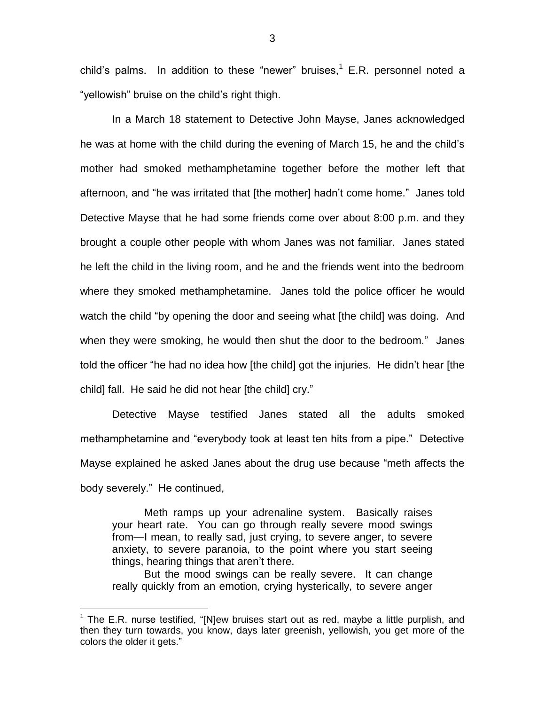child's palms. In addition to these "newer" bruises, $<sup>1</sup>$  E.R. personnel noted a</sup> "yellowish" bruise on the child's right thigh.

In a March 18 statement to Detective John Mayse, Janes acknowledged he was at home with the child during the evening of March 15, he and the child's mother had smoked methamphetamine together before the mother left that afternoon, and "he was irritated that [the mother] hadn't come home." Janes told Detective Mayse that he had some friends come over about 8:00 p.m. and they brought a couple other people with whom Janes was not familiar. Janes stated he left the child in the living room, and he and the friends went into the bedroom where they smoked methamphetamine. Janes told the police officer he would watch the child "by opening the door and seeing what [the child] was doing. And when they were smoking, he would then shut the door to the bedroom." Janes told the officer "he had no idea how [the child] got the injuries. He didn't hear [the child] fall. He said he did not hear [the child] cry."

Detective Mayse testified Janes stated all the adults smoked methamphetamine and "everybody took at least ten hits from a pipe." Detective Mayse explained he asked Janes about the drug use because "meth affects the body severely." He continued,

Meth ramps up your adrenaline system. Basically raises your heart rate. You can go through really severe mood swings from—I mean, to really sad, just crying, to severe anger, to severe anxiety, to severe paranoia, to the point where you start seeing things, hearing things that aren't there.

But the mood swings can be really severe. It can change really quickly from an emotion, crying hysterically, to severe anger

 $\overline{a}$ 

 $1$  The E.R. nurse testified, "[N]ew bruises start out as red, maybe a little purplish, and then they turn towards, you know, days later greenish, yellowish, you get more of the colors the older it gets."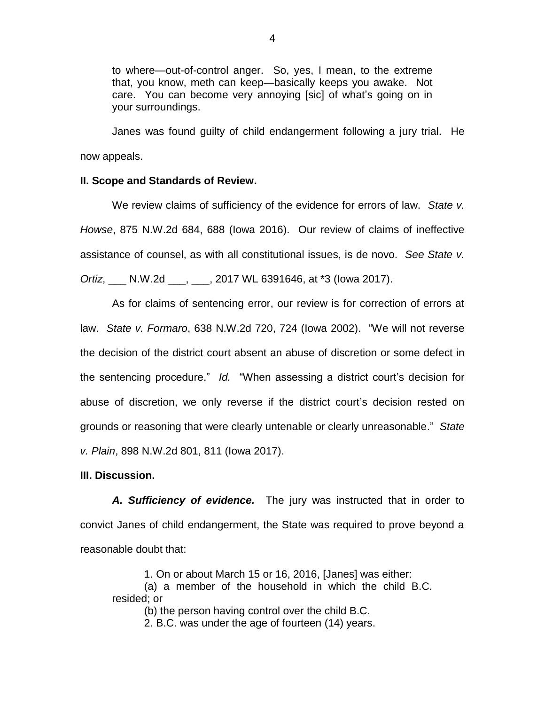to where—out-of-control anger. So, yes, I mean, to the extreme that, you know, meth can keep—basically keeps you awake. Not care. You can become very annoying [sic] of what's going on in your surroundings.

Janes was found guilty of child endangerment following a jury trial. He now appeals.

## **II. Scope and Standards of Review.**

We review claims of sufficiency of the evidence for errors of law. *State v. Howse*, 875 N.W.2d 684, 688 (Iowa 2016). Our review of claims of ineffective assistance of counsel, as with all constitutional issues, is de novo. *See State v. Ortiz*, \_\_\_ N.W.2d \_\_\_, \_\_\_, 2017 WL 6391646, at \*3 (Iowa 2017).

As for claims of sentencing error, our review is for correction of errors at law. *State v. Formaro*, 638 N.W.2d 720, 724 (Iowa 2002). "We will not reverse the decision of the district court absent an abuse of discretion or some defect in the sentencing procedure." *Id.* "When assessing a district court's decision for abuse of discretion, we only reverse if the district court's decision rested on grounds or reasoning that were clearly untenable or clearly unreasonable." *State v. Plain*, 898 N.W.2d 801, 811 (Iowa 2017).

### **III. Discussion.**

*A. Sufficiency of evidence.* The jury was instructed that in order to convict Janes of child endangerment, the State was required to prove beyond a reasonable doubt that:

1. On or about March 15 or 16, 2016, [Janes] was either: (a) a member of the household in which the child B.C. resided; or (b) the person having control over the child B.C.

2. B.C. was under the age of fourteen (14) years.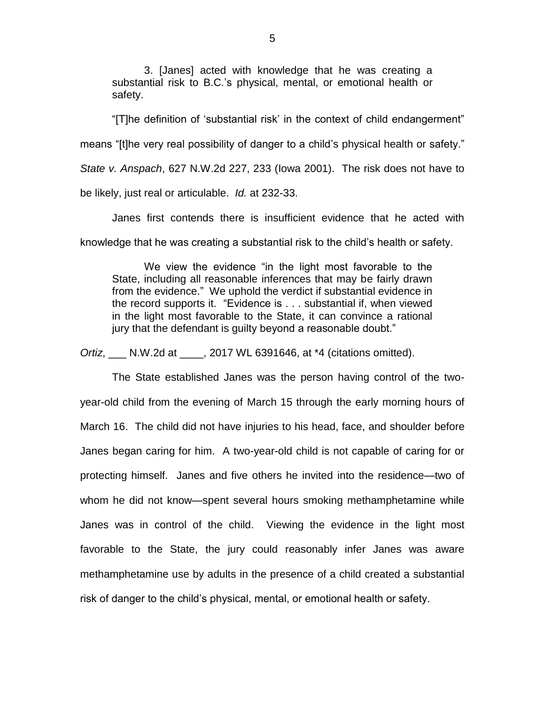3. [Janes] acted with knowledge that he was creating a substantial risk to B.C.'s physical, mental, or emotional health or safety.

"[T]he definition of 'substantial risk' in the context of child endangerment" means "[t]he very real possibility of danger to a child's physical health or safety." *State v. Anspach*, 627 N.W.2d 227, 233 (Iowa 2001). The risk does not have to be likely, just real or articulable. *Id.* at 232-33.

Janes first contends there is insufficient evidence that he acted with knowledge that he was creating a substantial risk to the child's health or safety.

We view the evidence "in the light most favorable to the State, including all reasonable inferences that may be fairly drawn from the evidence." We uphold the verdict if substantial evidence in the record supports it. "Evidence is . . . substantial if, when viewed in the light most favorable to the State, it can convince a rational jury that the defendant is quilty beyond a reasonable doubt."

*Ortiz*, \_\_\_ N.W.2d at \_\_\_\_, 2017 WL 6391646, at \*4 (citations omitted).

The State established Janes was the person having control of the twoyear-old child from the evening of March 15 through the early morning hours of March 16. The child did not have injuries to his head, face, and shoulder before Janes began caring for him. A two-year-old child is not capable of caring for or protecting himself. Janes and five others he invited into the residence—two of whom he did not know—spent several hours smoking methamphetamine while Janes was in control of the child. Viewing the evidence in the light most favorable to the State, the jury could reasonably infer Janes was aware methamphetamine use by adults in the presence of a child created a substantial risk of danger to the child's physical, mental, or emotional health or safety.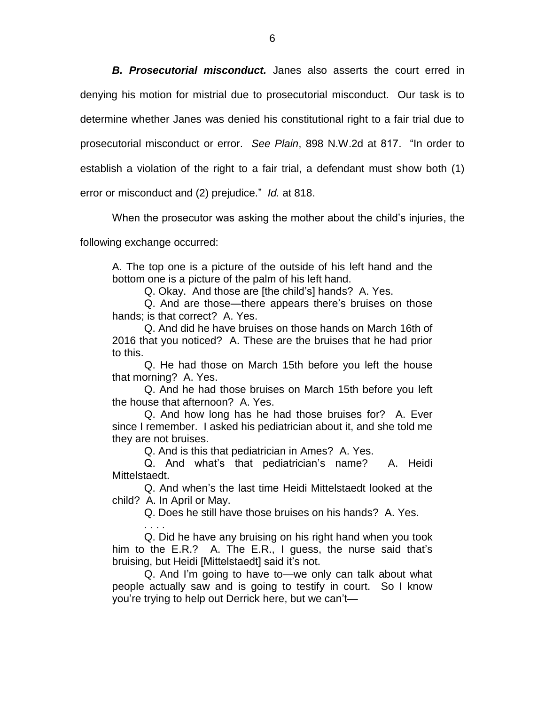*B. Prosecutorial misconduct.* Janes also asserts the court erred in denying his motion for mistrial due to prosecutorial misconduct. Our task is to determine whether Janes was denied his constitutional right to a fair trial due to prosecutorial misconduct or error. *See Plain*, 898 N.W.2d at 817. "In order to establish a violation of the right to a fair trial, a defendant must show both (1) error or misconduct and (2) prejudice." *Id.* at 818.

When the prosecutor was asking the mother about the child's injuries, the

following exchange occurred:

. . . .

A. The top one is a picture of the outside of his left hand and the bottom one is a picture of the palm of his left hand.

Q. Okay. And those are [the child's] hands? A. Yes.

Q. And are those—there appears there's bruises on those hands; is that correct? A. Yes.

Q. And did he have bruises on those hands on March 16th of 2016 that you noticed? A. These are the bruises that he had prior to this.

Q. He had those on March 15th before you left the house that morning? A. Yes.

Q. And he had those bruises on March 15th before you left the house that afternoon? A. Yes.

Q. And how long has he had those bruises for? A. Ever since I remember. I asked his pediatrician about it, and she told me they are not bruises.

Q. And is this that pediatrician in Ames? A. Yes.

Q. And what's that pediatrician's name? A. Heidi Mittelstaedt.

Q. And when's the last time Heidi Mittelstaedt looked at the child? A. In April or May.

Q. Does he still have those bruises on his hands? A. Yes.

Q. Did he have any bruising on his right hand when you took him to the E.R.? A. The E.R., I guess, the nurse said that's bruising, but Heidi [Mittelstaedt] said it's not.

Q. And I'm going to have to—we only can talk about what people actually saw and is going to testify in court. So I know you're trying to help out Derrick here, but we can't—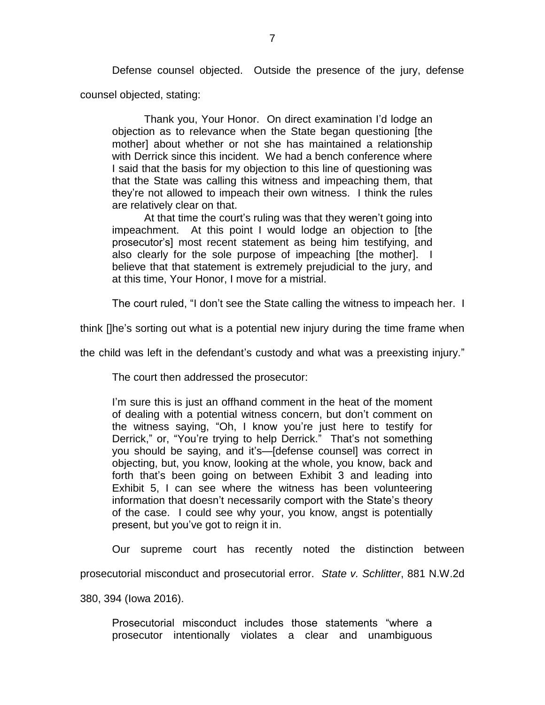Defense counsel objected. Outside the presence of the jury, defense counsel objected, stating:

Thank you, Your Honor. On direct examination I'd lodge an objection as to relevance when the State began questioning [the mother] about whether or not she has maintained a relationship with Derrick since this incident. We had a bench conference where I said that the basis for my objection to this line of questioning was that the State was calling this witness and impeaching them, that they're not allowed to impeach their own witness. I think the rules are relatively clear on that.

At that time the court's ruling was that they weren't going into impeachment. At this point I would lodge an objection to [the prosecutor's] most recent statement as being him testifying, and also clearly for the sole purpose of impeaching [the mother]. believe that that statement is extremely prejudicial to the jury, and at this time, Your Honor, I move for a mistrial.

The court ruled, "I don't see the State calling the witness to impeach her. I

think []he's sorting out what is a potential new injury during the time frame when

the child was left in the defendant's custody and what was a preexisting injury."

The court then addressed the prosecutor:

I'm sure this is just an offhand comment in the heat of the moment of dealing with a potential witness concern, but don't comment on the witness saying, "Oh, I know you're just here to testify for Derrick," or, "You're trying to help Derrick." That's not something you should be saying, and it's—[defense counsel] was correct in objecting, but, you know, looking at the whole, you know, back and forth that's been going on between Exhibit 3 and leading into Exhibit 5, I can see where the witness has been volunteering information that doesn't necessarily comport with the State's theory of the case. I could see why your, you know, angst is potentially present, but you've got to reign it in.

Our supreme court has recently noted the distinction between

prosecutorial misconduct and prosecutorial error. *State v. Schlitter*, 881 N.W.2d

380, 394 (Iowa 2016).

Prosecutorial misconduct includes those statements "where a prosecutor intentionally violates a clear and unambiguous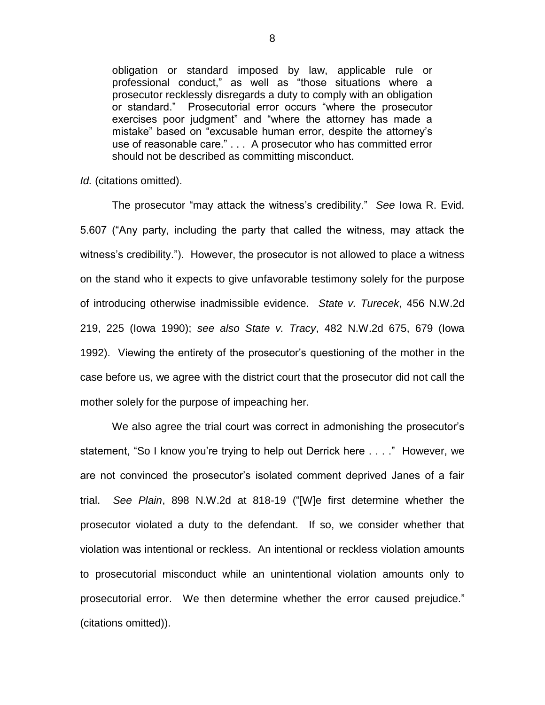obligation or standard imposed by law, applicable rule or professional conduct," as well as "those situations where a prosecutor recklessly disregards a duty to comply with an obligation or standard." Prosecutorial error occurs "where the prosecutor exercises poor judgment" and "where the attorney has made a mistake" based on "excusable human error, despite the attorney's use of reasonable care." . . . A prosecutor who has committed error should not be described as committing misconduct.

*Id.* (citations omitted).

The prosecutor "may attack the witness's credibility." *See* Iowa R. Evid. 5.607 ("Any party, including the party that called the witness, may attack the witness's credibility."). However, the prosecutor is not allowed to place a witness on the stand who it expects to give unfavorable testimony solely for the purpose of introducing otherwise inadmissible evidence. *State v. Turecek*, 456 N.W.2d 219, 225 (Iowa 1990); *see also State v. Tracy*, 482 N.W.2d 675, 679 (Iowa 1992). Viewing the entirety of the prosecutor's questioning of the mother in the case before us, we agree with the district court that the prosecutor did not call the mother solely for the purpose of impeaching her.

We also agree the trial court was correct in admonishing the prosecutor's statement, "So I know you're trying to help out Derrick here . . . ." However, we are not convinced the prosecutor's isolated comment deprived Janes of a fair trial. *See Plain*, 898 N.W.2d at 818-19 ("[W]e first determine whether the prosecutor violated a duty to the defendant. If so, we consider whether that violation was intentional or reckless. An intentional or reckless violation amounts to prosecutorial misconduct while an unintentional violation amounts only to prosecutorial error. We then determine whether the error caused prejudice." (citations omitted)).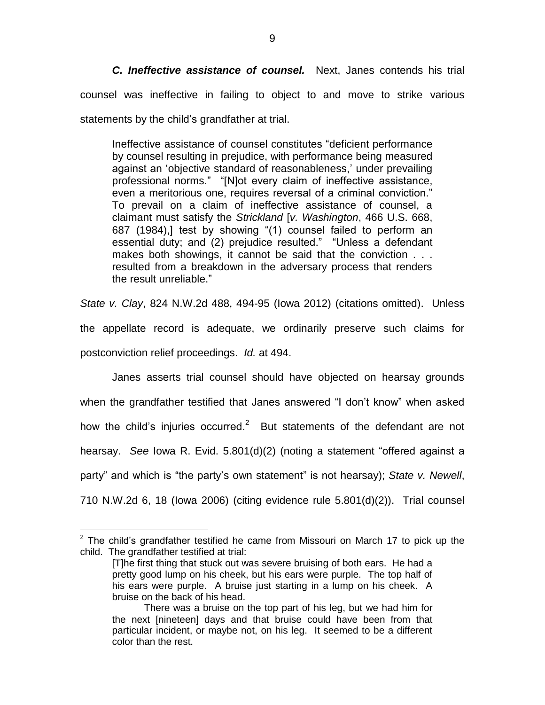*C. Ineffective assistance of counsel.* Next, Janes contends his trial counsel was ineffective in failing to object to and move to strike various statements by the child's grandfather at trial.

Ineffective assistance of counsel constitutes "deficient performance by counsel resulting in prejudice, with performance being measured against an 'objective standard of reasonableness,' under prevailing professional norms." "[N]ot every claim of ineffective assistance, even a meritorious one, requires reversal of a criminal conviction." To prevail on a claim of ineffective assistance of counsel, a claimant must satisfy the *Strickland* [*v. Washington*, 466 U.S. 668, 687 (1984),] test by showing "(1) counsel failed to perform an essential duty; and (2) prejudice resulted." "Unless a defendant makes both showings, it cannot be said that the conviction . . . resulted from a breakdown in the adversary process that renders the result unreliable."

*State v. Clay*, 824 N.W.2d 488, 494-95 (Iowa 2012) (citations omitted). Unless the appellate record is adequate, we ordinarily preserve such claims for postconviction relief proceedings. *Id.* at 494.

Janes asserts trial counsel should have objected on hearsay grounds when the grandfather testified that Janes answered "I don't know" when asked how the child's injuries occurred.<sup>2</sup> But statements of the defendant are not hearsay. *See* Iowa R. Evid. 5.801(d)(2) (noting a statement "offered against a party" and which is "the party's own statement" is not hearsay); *State v. Newell*, 710 N.W.2d 6, 18 (Iowa 2006) (citing evidence rule 5.801(d)(2)). Trial counsel

 $\overline{a}$ 

 $2$  The child's grandfather testified he came from Missouri on March 17 to pick up the child. The grandfather testified at trial:

<sup>[</sup>T]he first thing that stuck out was severe bruising of both ears. He had a pretty good lump on his cheek, but his ears were purple. The top half of his ears were purple. A bruise just starting in a lump on his cheek. A bruise on the back of his head.

There was a bruise on the top part of his leg, but we had him for the next [nineteen] days and that bruise could have been from that particular incident, or maybe not, on his leg. It seemed to be a different color than the rest.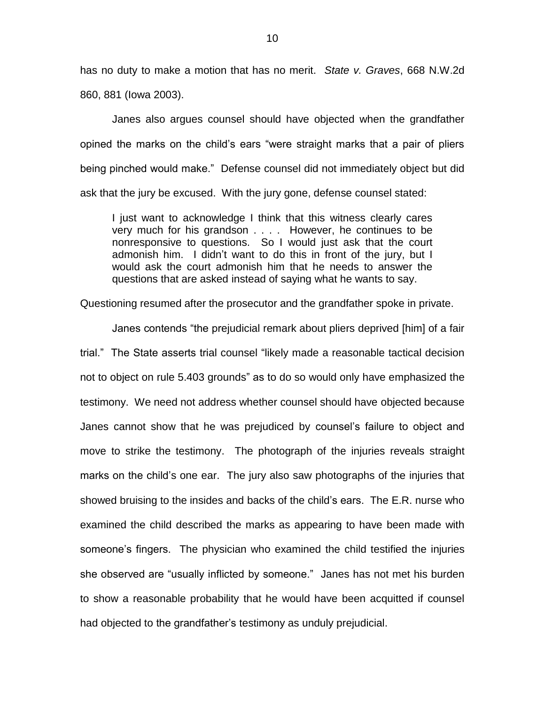has no duty to make a motion that has no merit. *State v. Graves*, 668 N.W.2d 860, 881 (Iowa 2003).

Janes also argues counsel should have objected when the grandfather opined the marks on the child's ears "were straight marks that a pair of pliers being pinched would make." Defense counsel did not immediately object but did ask that the jury be excused. With the jury gone, defense counsel stated:

I just want to acknowledge I think that this witness clearly cares very much for his grandson . . . . However, he continues to be nonresponsive to questions. So I would just ask that the court admonish him. I didn't want to do this in front of the jury, but I would ask the court admonish him that he needs to answer the questions that are asked instead of saying what he wants to say.

Questioning resumed after the prosecutor and the grandfather spoke in private.

Janes contends "the prejudicial remark about pliers deprived [him] of a fair trial." The State asserts trial counsel "likely made a reasonable tactical decision not to object on rule 5.403 grounds" as to do so would only have emphasized the testimony. We need not address whether counsel should have objected because Janes cannot show that he was prejudiced by counsel's failure to object and move to strike the testimony. The photograph of the injuries reveals straight marks on the child's one ear. The jury also saw photographs of the injuries that showed bruising to the insides and backs of the child's ears. The E.R. nurse who examined the child described the marks as appearing to have been made with someone's fingers. The physician who examined the child testified the injuries she observed are "usually inflicted by someone." Janes has not met his burden to show a reasonable probability that he would have been acquitted if counsel had objected to the grandfather's testimony as unduly prejudicial.